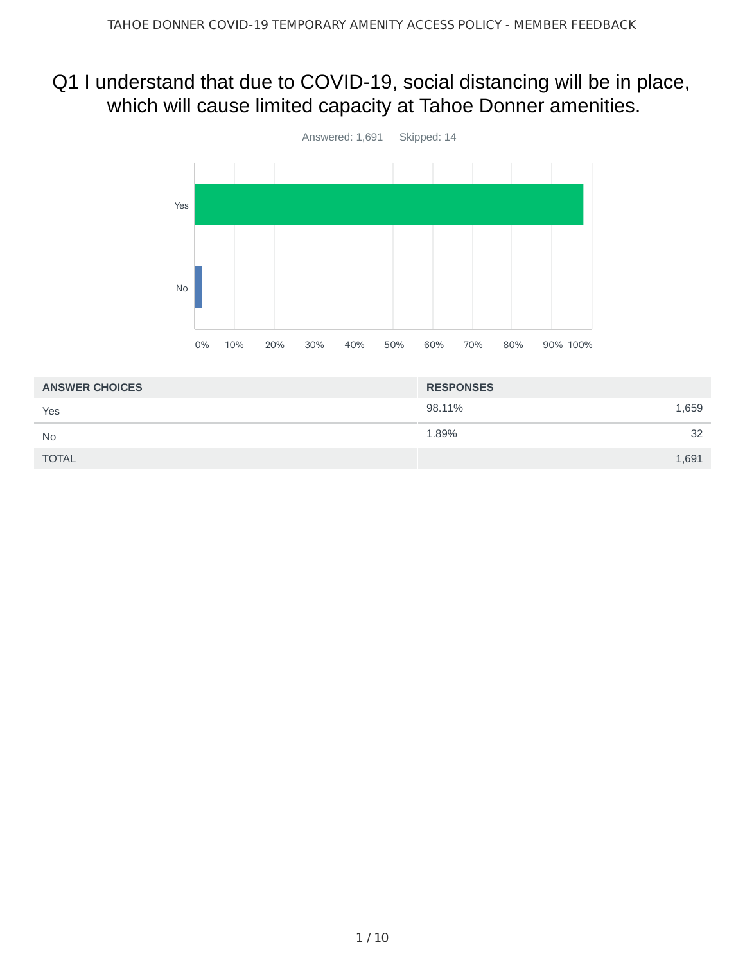# Q1 I understand that due to COVID-19, social distancing will be in place, which will cause limited capacity at Tahoe Donner amenities.



| <b>ANSWER CHOICES</b> | <b>RESPONSES</b> |
|-----------------------|------------------|
| Yes                   | 98.11%<br>1,659  |
| <b>No</b>             | 32<br>1.89%      |
| <b>TOTAL</b>          | 1,691            |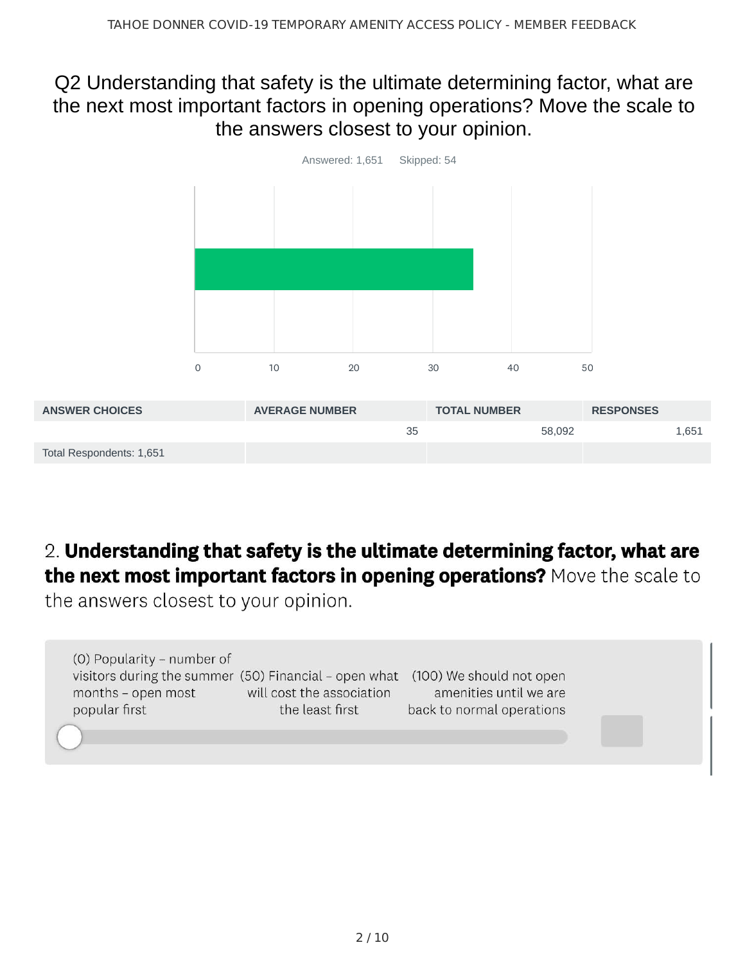### Q2 Understanding that safety is the ultimate determining factor, what are the next most important factors in opening operations? Move the scale to the answers closest to your opinion.



# 2. Understanding that safety is the ultimate determining factor, what are the next most important factors in opening operations? Move the scale to

the answers closest to your opinion.

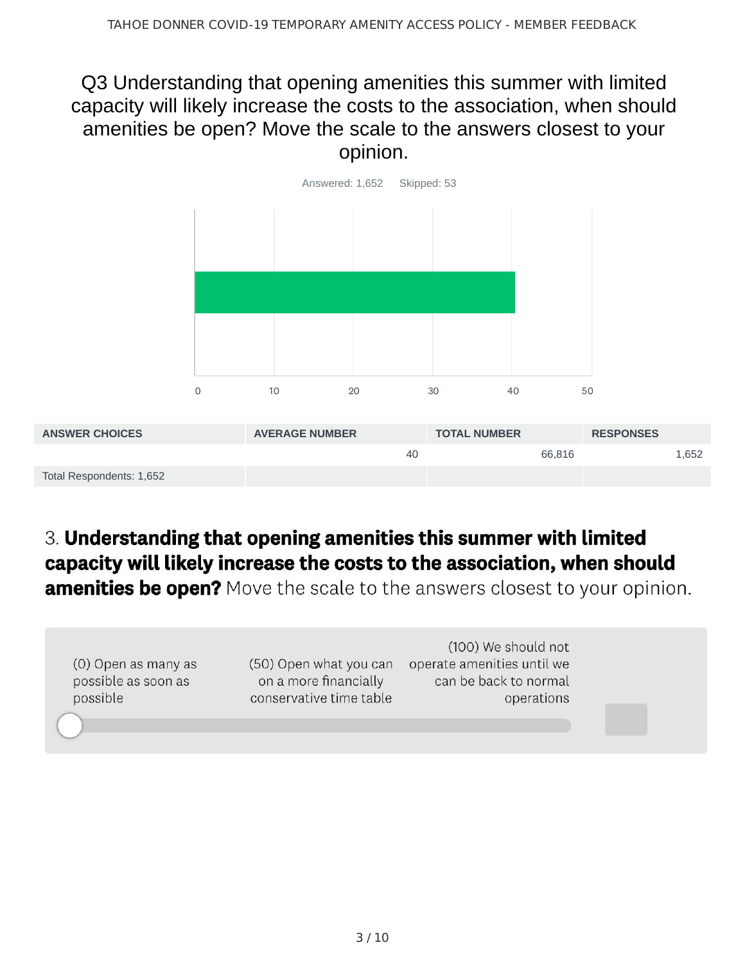### Q3 Understanding that opening amenities this summer with limited capacity will likely increase the costs to the association, when should amenities be open? Move the scale to the answers closest to your opinion.



| <b>ANSWER CHOICES</b>    | <b>AVERAGE NUMBER</b> | <b>TOTAL NUMBER</b> | <b>RESPONSES</b> |
|--------------------------|-----------------------|---------------------|------------------|
|                          | 40                    | 66.816              | 1.652            |
| Total Respondents: 1,652 |                       |                     |                  |

# 3. Understanding that opening amenities this summer with limited capacity will likely increase the costs to the association, when should

**amenities be open?** Move the scale to the answers closest to your opinion.

| (0) Open as many as<br>possible as soon as<br>possible | (50) Open what you can<br>on a more financially<br>conservative time table | (100) We should not<br>operate amenities until we<br>can be back to normal<br>operations |  |
|--------------------------------------------------------|----------------------------------------------------------------------------|------------------------------------------------------------------------------------------|--|
|                                                        |                                                                            |                                                                                          |  |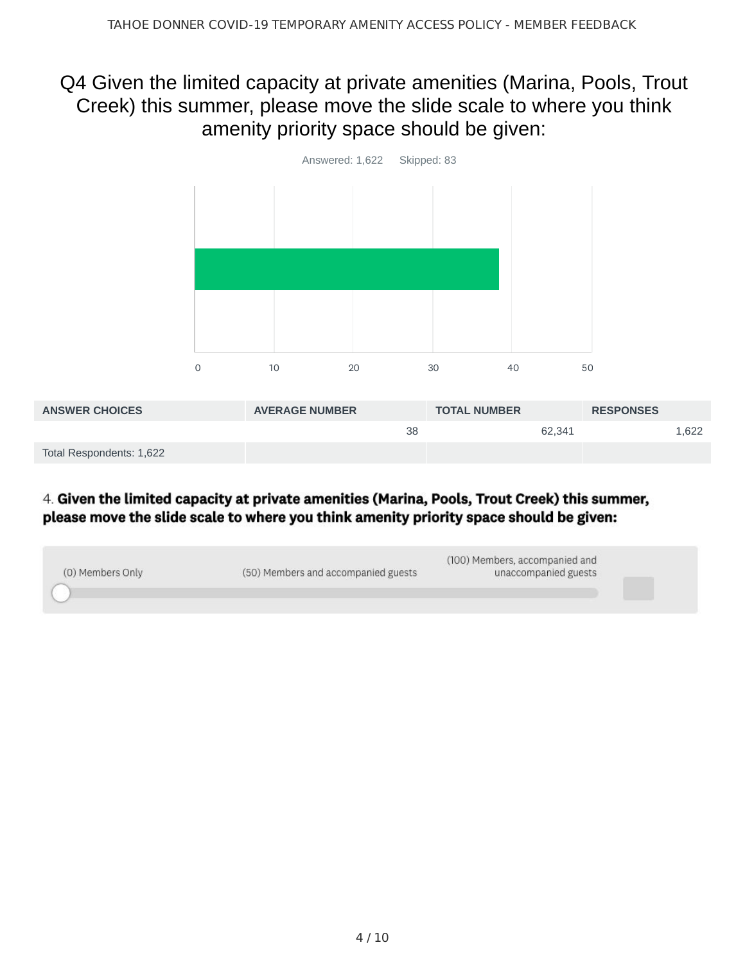### Q4 Given the limited capacity at private amenities (Marina, Pools, Trout Creek) this summer, please move the slide scale to where you think amenity priority space should be given:



#### 4. Given the limited capacity at private amenities (Marina, Pools, Trout Creek) this summer, please move the slide scale to where you think amenity priority space should be given:

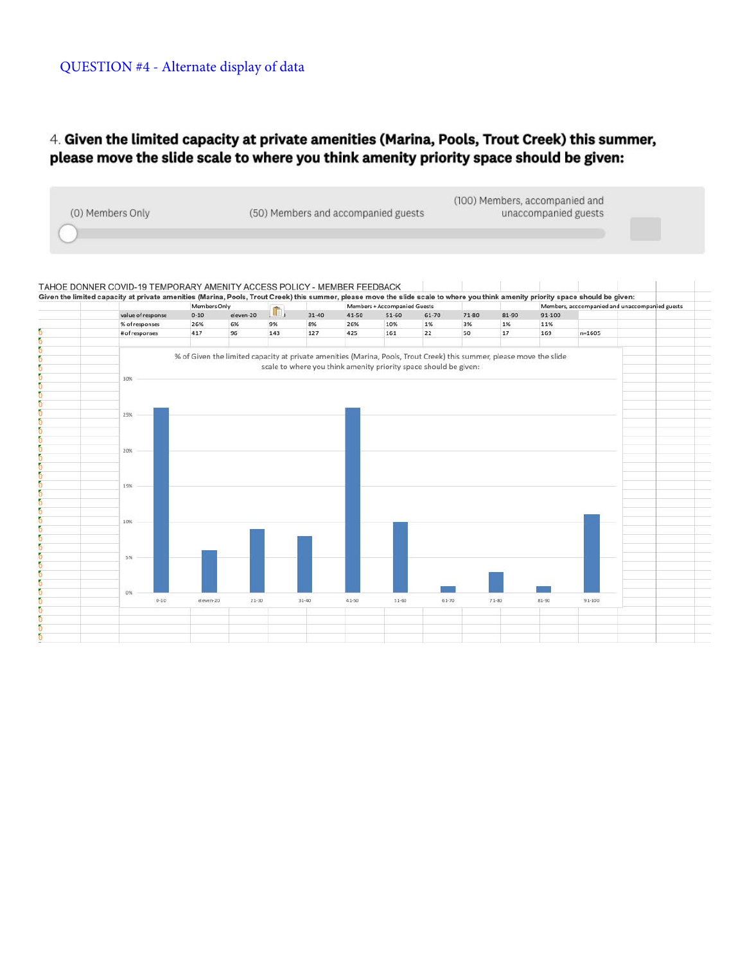#### 4. Given the limited capacity at private amenities (Marina, Pools, Trout Creek) this summer, please move the slide scale to where you think amenity priority space should be given:

 $(100)$  Members consmossied and

| (0) Members Only | (50) Members and accompanied guests | (TOO) Members, accompanied and<br>unaccompanied guests |  |
|------------------|-------------------------------------|--------------------------------------------------------|--|
|                  |                                     |                                                        |  |

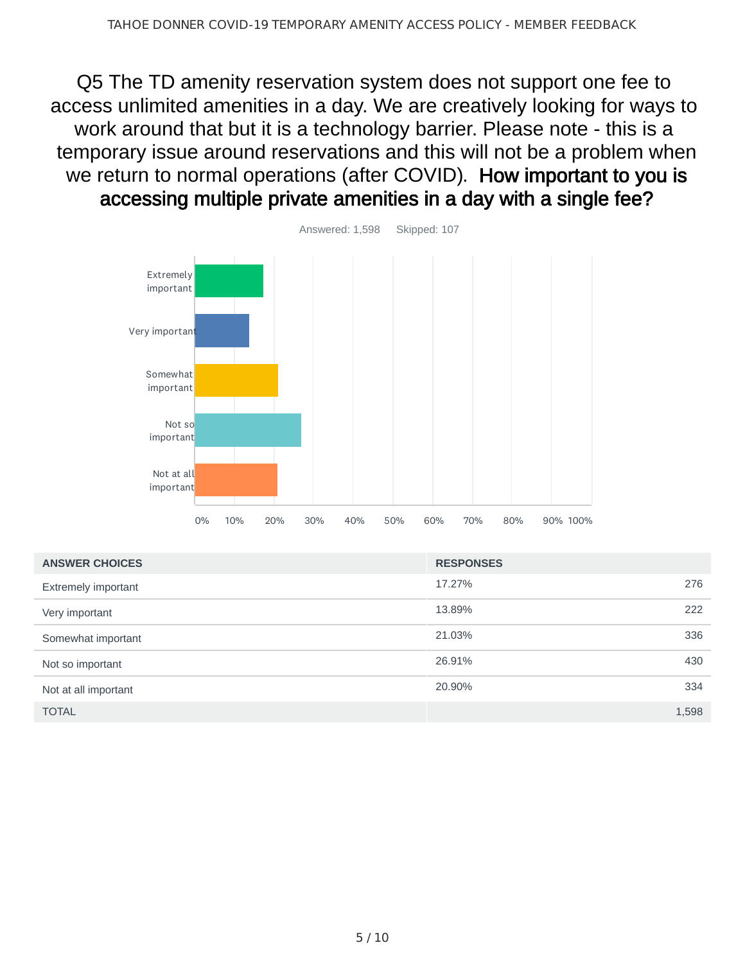Q5 The TD amenity reservation system does not support one fee to access unlimited amenities in a day. We are creatively looking for ways to work around that but it is a technology barrier. Please note - this is a temporary issue around reservations and this will not be a problem when we return to normal operations (after COVID). How important to you is accessing multiple private amenities in a day with a single fee?



| <b>ANSWER CHOICES</b> | <b>RESPONSES</b> |       |
|-----------------------|------------------|-------|
| Extremely important   | 17.27%           | 276   |
| Very important        | 13.89%           | 222   |
| Somewhat important    | 21.03%           | 336   |
| Not so important      | 26.91%           | 430   |
| Not at all important  | 20.90%           | 334   |
| <b>TOTAL</b>          |                  | 1,598 |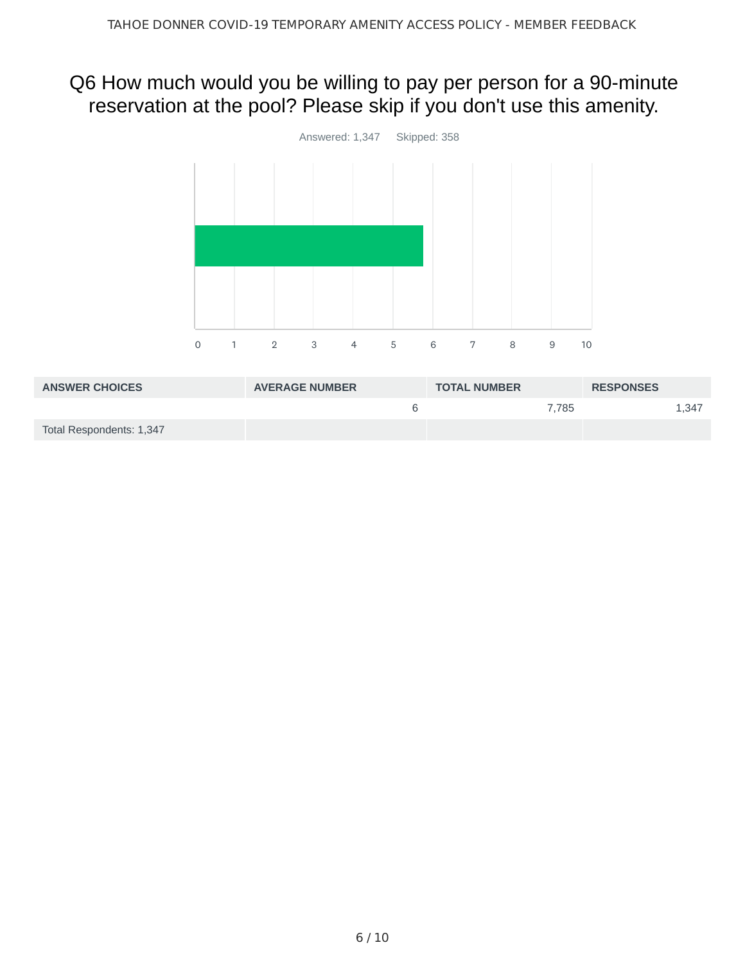## Q6 How much would you be willing to pay per person for a 90-minute reservation at the pool? Please skip if you don't use this amenity.



| <b>ANSWER CHOICES</b>    | <b>AVERAGE NUMBER</b> | <b>TOTAL NUMBER</b> | <b>RESPONSES</b> |
|--------------------------|-----------------------|---------------------|------------------|
|                          | h                     | 7.785               | 1.347            |
| Total Respondents: 1,347 |                       |                     |                  |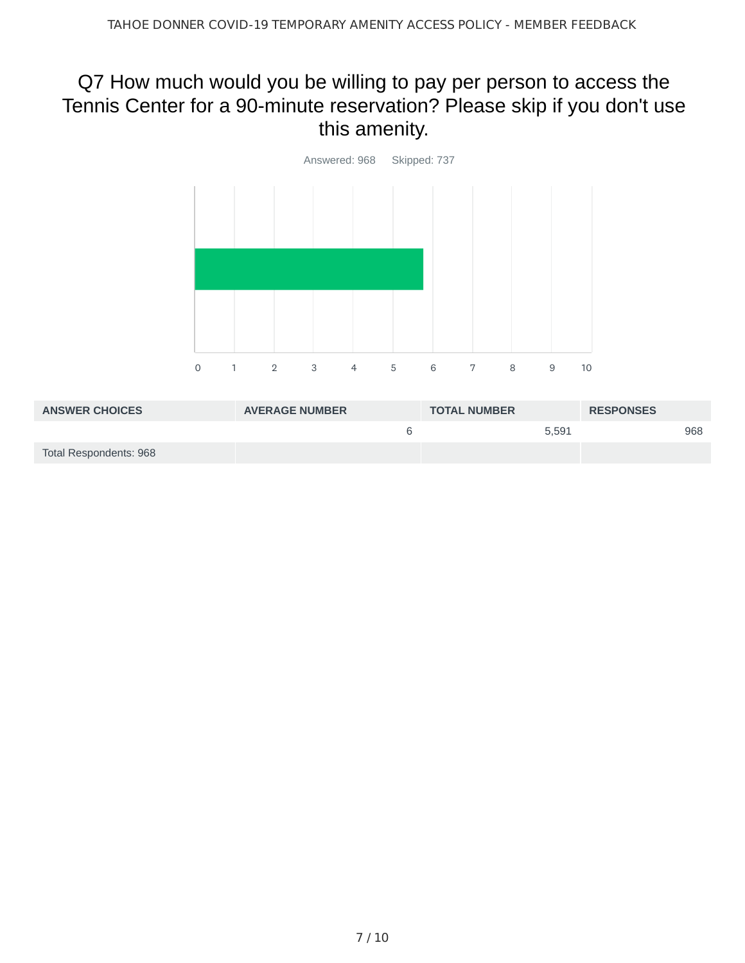## Q7 How much would you be willing to pay per person to access the Tennis Center for a 90-minute reservation? Please skip if you don't use this amenity.



| <b>ANSWER CHOICES</b>  | <b>AVERAGE NUMBER</b> | <b>TOTAL NUMBER</b> |       | <b>RESPONSES</b> |     |
|------------------------|-----------------------|---------------------|-------|------------------|-----|
|                        |                       |                     | 5.591 |                  | 968 |
| Total Respondents: 968 |                       |                     |       |                  |     |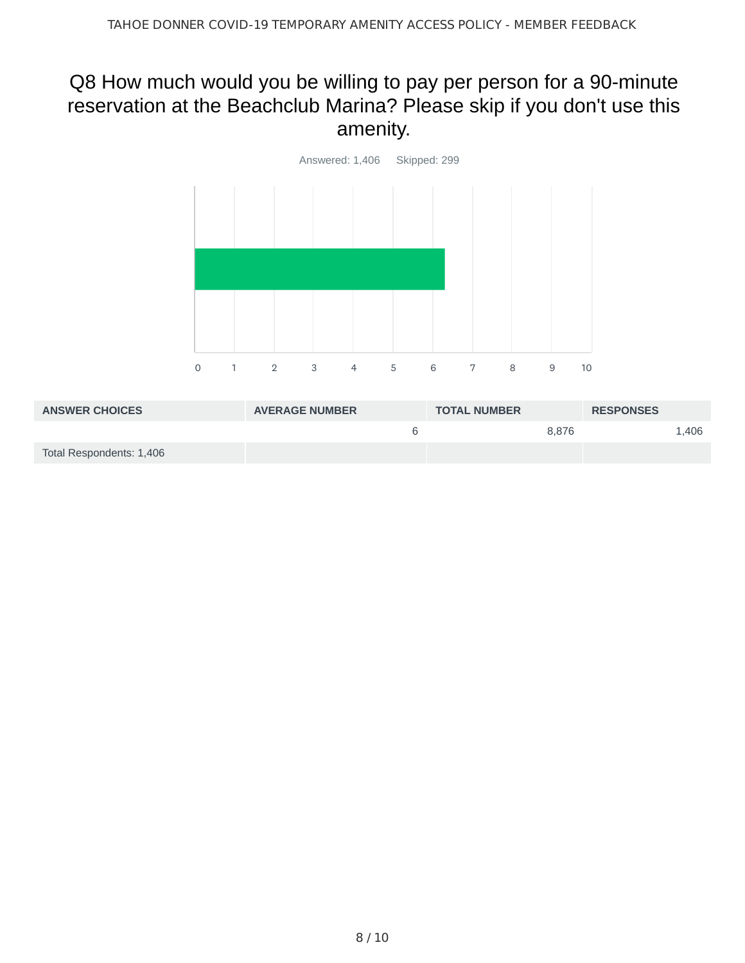# Q8 How much would you be willing to pay per person for a 90-minute reservation at the Beachclub Marina? Please skip if you don't use this amenity.



| <b>ANSWER CHOICES</b>    | <b>AVERAGE NUMBER</b> | <b>TOTAL NUMBER</b> | <b>RESPONSES</b> |
|--------------------------|-----------------------|---------------------|------------------|
|                          |                       | 8.876               | 1.406            |
| Total Respondents: 1,406 |                       |                     |                  |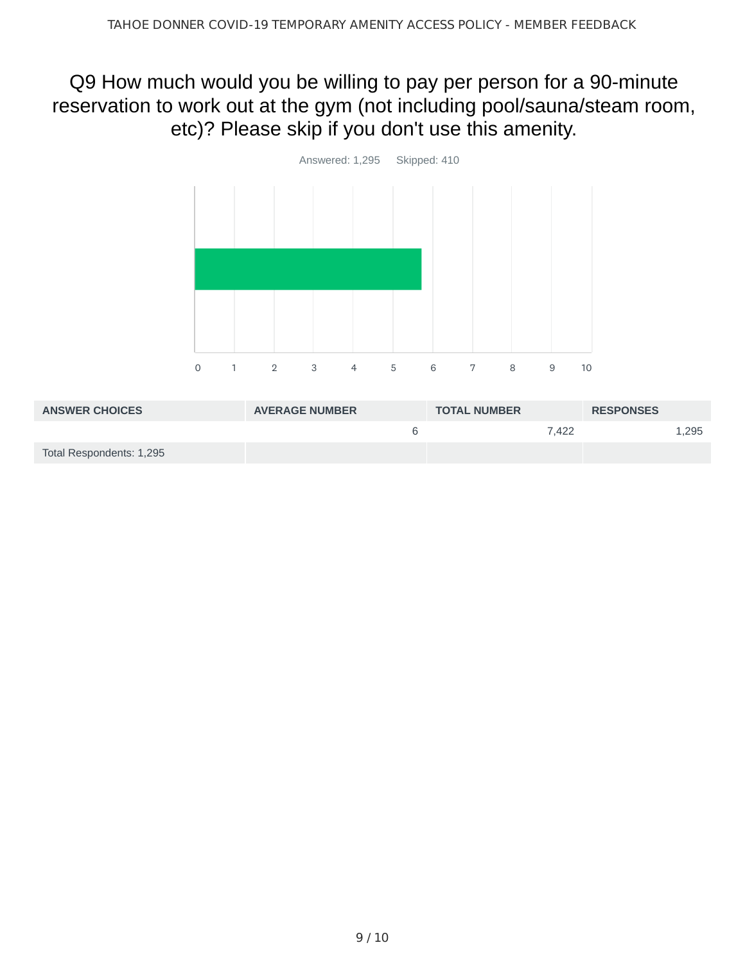### Q9 How much would you be willing to pay per person for a 90-minute reservation to work out at the gym (not including pool/sauna/steam room, etc)? Please skip if you don't use this amenity.



| <b>ANSWER CHOICES</b>    | <b>AVERAGE NUMBER</b> | <b>TOTAL NUMBER</b> | <b>RESPONSES</b> |
|--------------------------|-----------------------|---------------------|------------------|
|                          |                       | 7.422               | 1,295            |
| Total Respondents: 1,295 |                       |                     |                  |